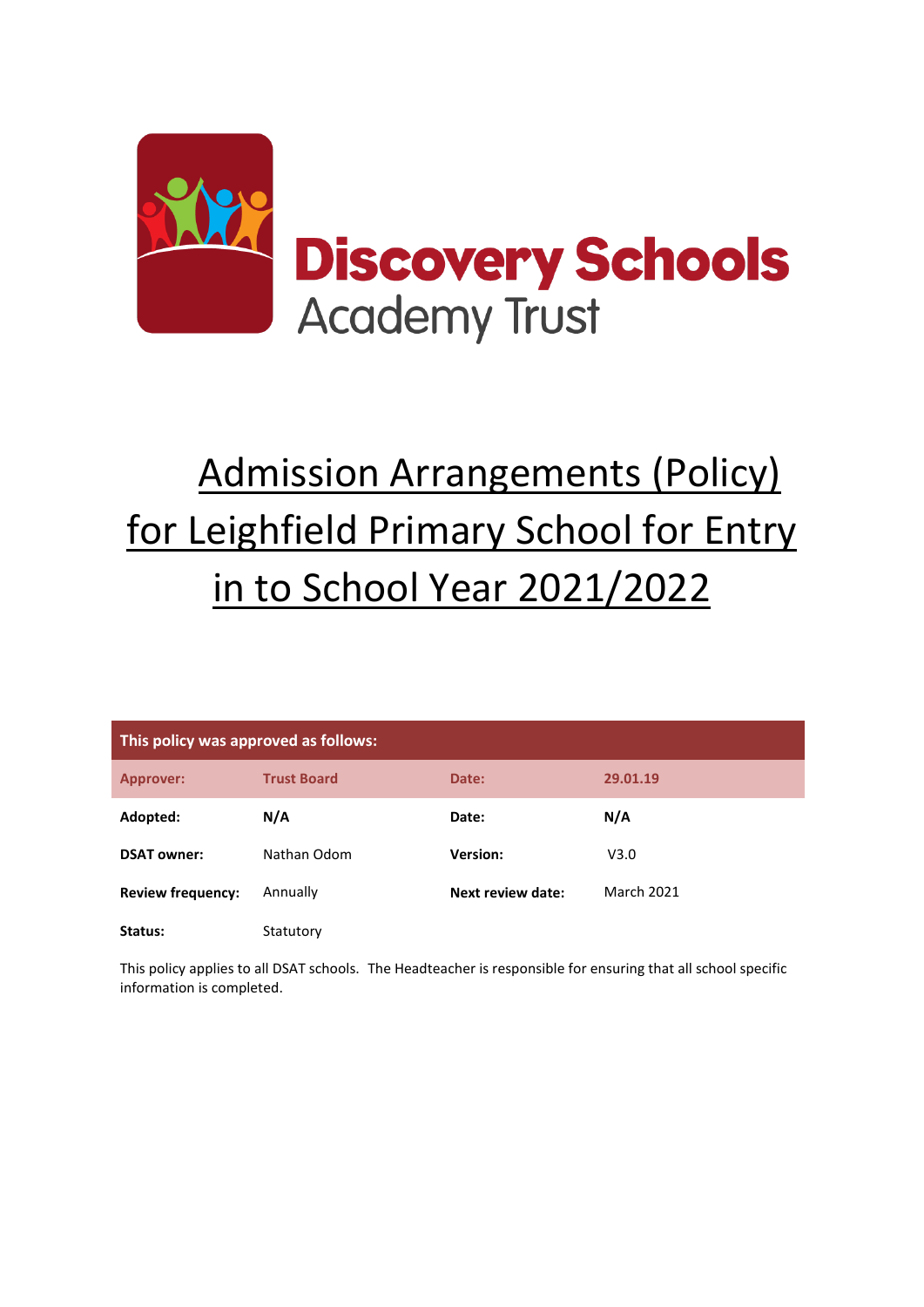

# Admission Arrangements (Policy) for Leighfield Primary School for Entry in to School Year 2021/2022

| This policy was approved as follows: |                    |                   |                   |  |  |
|--------------------------------------|--------------------|-------------------|-------------------|--|--|
| <b>Approver:</b>                     | <b>Trust Board</b> | Date:             | 29.01.19          |  |  |
| Adopted:                             | N/A                | Date:             | N/A               |  |  |
| <b>DSAT owner:</b>                   | Nathan Odom        | Version:          | V3.0              |  |  |
| <b>Review frequency:</b>             | Annually           | Next review date: | <b>March 2021</b> |  |  |
| Status:                              | Statutory          |                   |                   |  |  |

This policy applies to all DSAT schools. The Headteacher is responsible for ensuring that all school specific information is completed.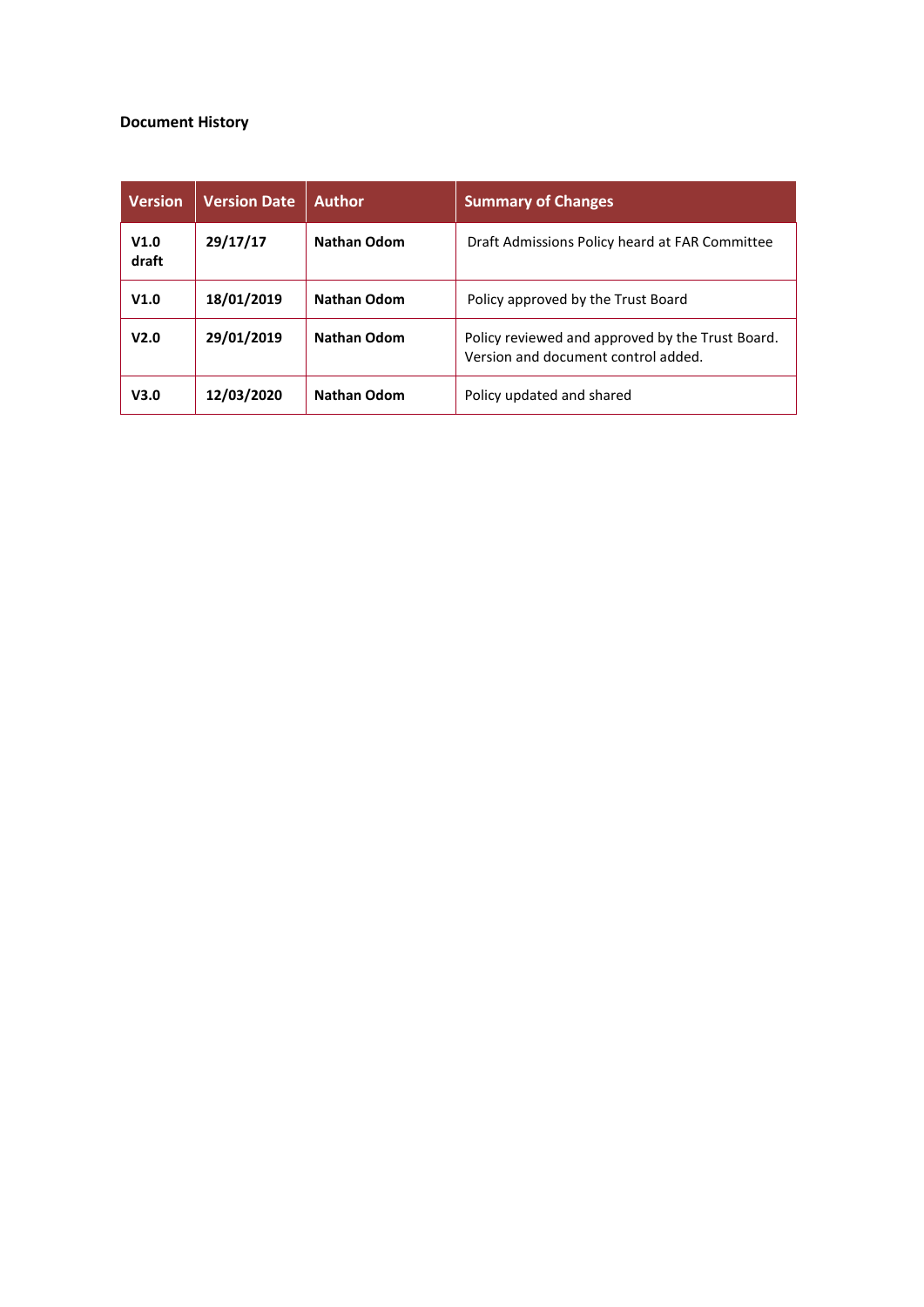#### **Document History**

| <b>Version</b>   | <b>Version Date</b> | <b>Author</b>      | <b>Summary of Changes</b>                                                               |
|------------------|---------------------|--------------------|-----------------------------------------------------------------------------------------|
| V1.0<br>draft    | 29/17/17            | <b>Nathan Odom</b> | Draft Admissions Policy heard at FAR Committee                                          |
| V1.0             | 18/01/2019          | <b>Nathan Odom</b> | Policy approved by the Trust Board                                                      |
| V <sub>2.0</sub> | 29/01/2019          | <b>Nathan Odom</b> | Policy reviewed and approved by the Trust Board.<br>Version and document control added. |
| V3.0             | 12/03/2020          | <b>Nathan Odom</b> | Policy updated and shared                                                               |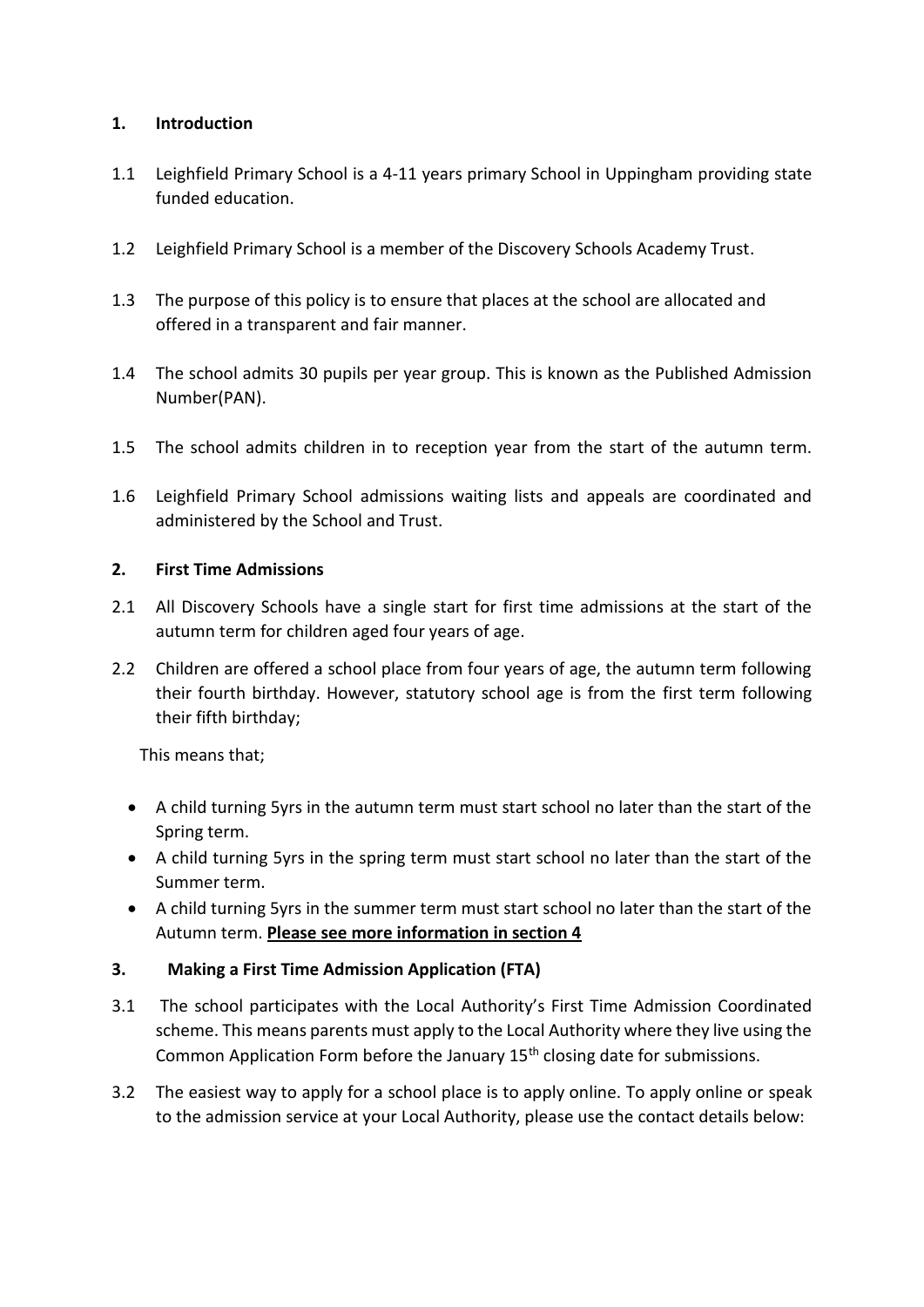# **1. Introduction**

- 1.1 Leighfield Primary School is a 4-11 years primary School in Uppingham providing state funded education.
- 1.2 Leighfield Primary School is a member of the Discovery Schools Academy Trust.
- 1.3 The purpose of this policy is to ensure that places at the school are allocated and offered in a transparent and fair manner.
- 1.4 The school admits 30 pupils per year group. This is known as the Published Admission Number(PAN).
- 1.5 The school admits children in to reception year from the start of the autumn term.
- 1.6 Leighfield Primary School admissions waiting lists and appeals are coordinated and administered by the School and Trust.

## **2. First Time Admissions**

- 2.1 All Discovery Schools have a single start for first time admissions at the start of the autumn term for children aged four years of age.
- 2.2 Children are offered a school place from four years of age, the autumn term following their fourth birthday. However, statutory school age is from the first term following their fifth birthday;

This means that;

- A child turning 5yrs in the autumn term must start school no later than the start of the Spring term.
- A child turning 5yrs in the spring term must start school no later than the start of the Summer term.
- A child turning 5yrs in the summer term must start school no later than the start of the Autumn term. **Please see more information in section 4**

## **3. Making a First Time Admission Application (FTA)**

- 3.1 The school participates with the Local Authority's First Time Admission Coordinated scheme. This means parents must apply to the Local Authority where they live using the Common Application Form before the January  $15<sup>th</sup>$  closing date for submissions.
- 3.2 The easiest way to apply for a school place is to apply online. To apply online or speak to the admission service at your Local Authority, please use the contact details below: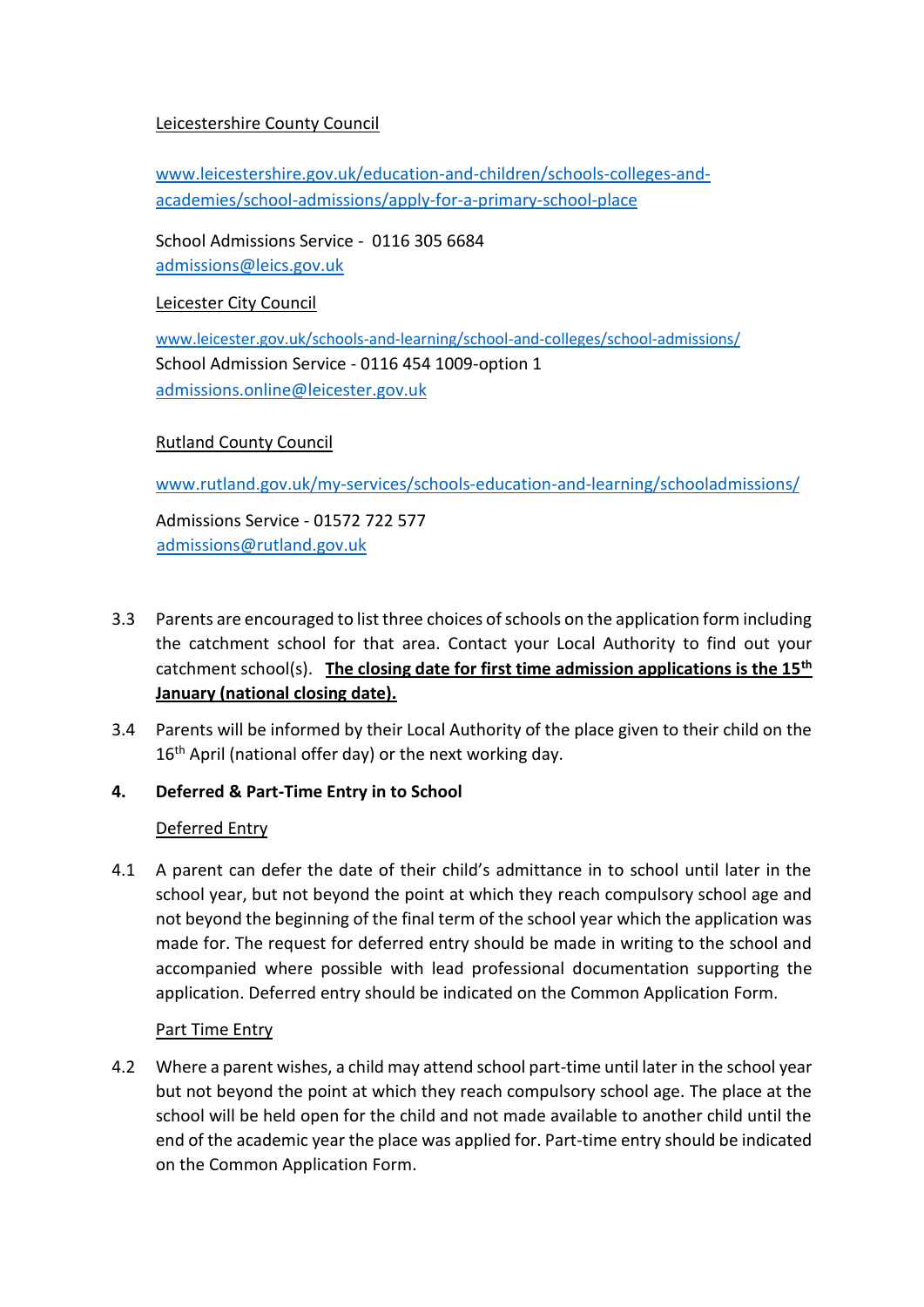# Leicestershire County Council

[www.leicestershire.gov.uk/education-and-children/schools-colleges-and](https://www.leicestershire.gov.uk/education-and-children/schools-colleges-and-academies/school-admissions/apply-for-a-primary-school-place)[academies/school-admissions/apply-for-a-primary-school-place](https://www.leicestershire.gov.uk/education-and-children/schools-colleges-and-academies/school-admissions/apply-for-a-primary-school-place)

School Admissions Service - 0116 305 6684 [admissions@leics.gov.uk](mailto:admissions@leics.gov.uk) 

Leicester City Council

[www.leicester.gov.uk/schools-and-learning/school-and-colleges/school-admissions/](http://www.leicester.gov.uk/schools-and-learning/school-and-colleges/school-admissions/) School Admission Service - 0116 454 1009-option 1 [admissions.online@leicester.gov.uk](mailto:admissions.online@leicester.gov.uk)

# Rutland County Council

[www.rutland.gov.uk/my-services/schools-education-and-learning/schooladmissions/](http://www.rutland.gov.uk/my-services/schools-education-and-learning/schooladmissions/)

Admissions Service - 01572 [722 577](tel:01572722577) [admissions@rutland.gov.uk](mailto:admissions@rutland.gov.uk)

- 3.3 Parents are encouraged to list three choices of schools on the application form including the catchment school for that area. Contact your Local Authority to find out your catchment school(s). **The closing date for first time admission applications is the 15th January (national closing date).**
- 3.4 Parents will be informed by their Local Authority of the place given to their child on the 16<sup>th</sup> April (national offer day) or the next working day.
- **4. Deferred & Part-Time Entry in to School**

## Deferred Entry

4.1 A parent can defer the date of their child's admittance in to school until later in the school year, but not beyond the point at which they reach compulsory school age and not beyond the beginning of the final term of the school year which the application was made for. The request for deferred entry should be made in writing to the school and accompanied where possible with lead professional documentation supporting the application. Deferred entry should be indicated on the Common Application Form.

## Part Time Entry

4.2 Where a parent wishes, a child may attend school part-time until later in the school year but not beyond the point at which they reach compulsory school age. The place at the school will be held open for the child and not made available to another child until the end of the academic year the place was applied for. Part-time entry should be indicated on the Common Application Form.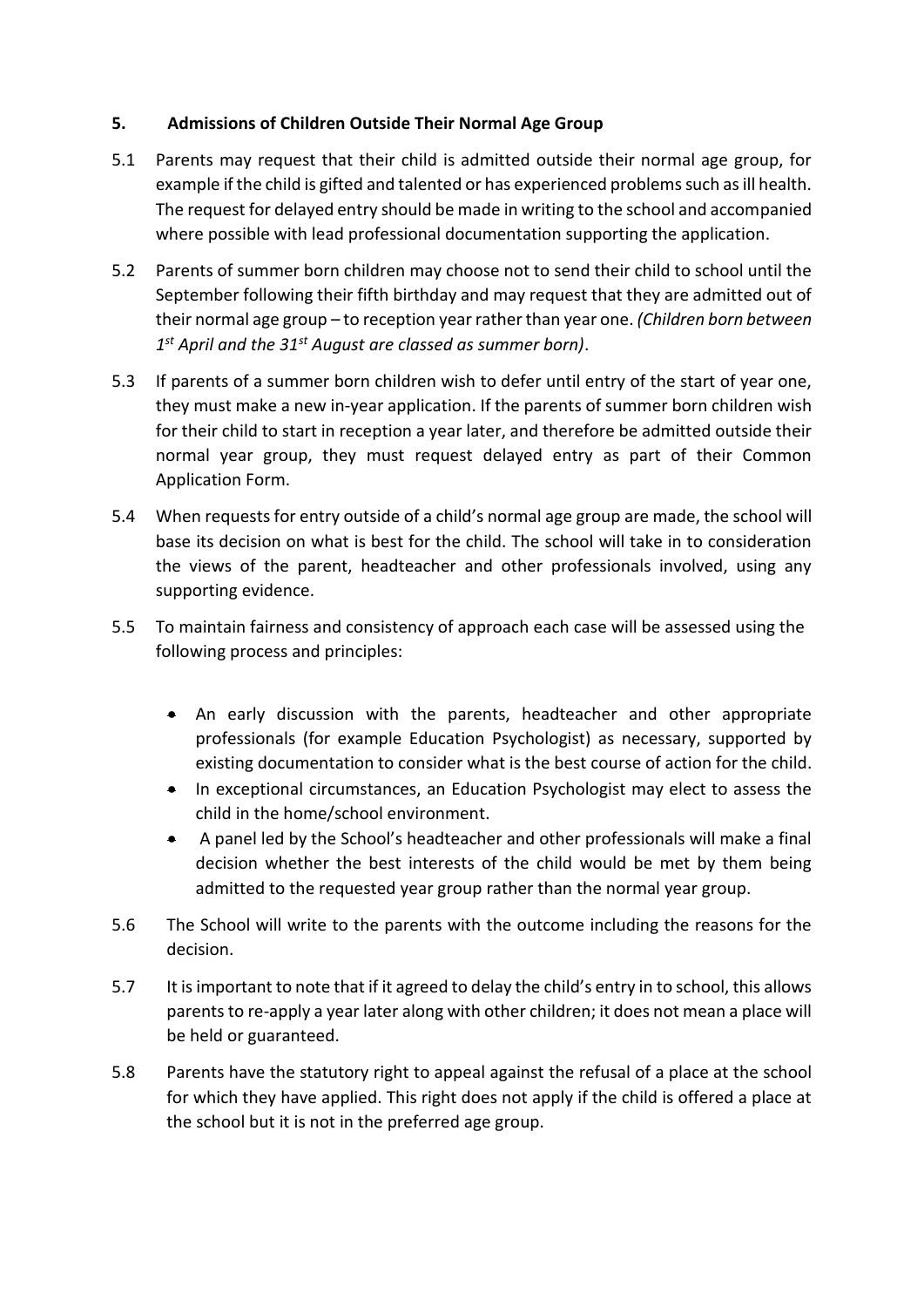## **5. Admissions of Children Outside Their Normal Age Group**

- 5.1 Parents may request that their child is admitted outside their normal age group, for example if the child is gifted and talented or has experienced problems such as ill health. The request for delayed entry should be made in writing to the school and accompanied where possible with lead professional documentation supporting the application.
- 5.2 Parents of summer born children may choose not to send their child to school until the September following their fifth birthday and may request that they are admitted out of their normal age group – to reception year rather than year one. *(Children born between 1 st April and the 31st August are classed as summer born)*.
- 5.3 If parents of a summer born children wish to defer until entry of the start of year one, they must make a new in-year application. If the parents of summer born children wish for their child to start in reception a year later, and therefore be admitted outside their normal year group, they must request delayed entry as part of their Common Application Form.
- 5.4 When requests for entry outside of a child's normal age group are made, the school will base its decision on what is best for the child. The school will take in to consideration the views of the parent, headteacher and other professionals involved, using any supporting evidence.
- 5.5 To maintain fairness and consistency of approach each case will be assessed using the following process and principles:
	- An early discussion with the parents, headteacher and other appropriate professionals (for example Education Psychologist) as necessary, supported by existing documentation to consider what is the best course of action for the child.
	- In exceptional circumstances, an Education Psychologist may elect to assess the child in the home/school environment.
	- A panel led by the School's headteacher and other professionals will make a final decision whether the best interests of the child would be met by them being admitted to the requested year group rather than the normal year group.
- 5.6 The School will write to the parents with the outcome including the reasons for the decision.
- 5.7 It is important to note that if it agreed to delay the child's entry in to school, this allows parents to re-apply a year later along with other children; it does not mean a place will be held or guaranteed.
- 5.8 Parents have the statutory right to appeal against the refusal of a place at the school for which they have applied. This right does not apply if the child is offered a place at the school but it is not in the preferred age group.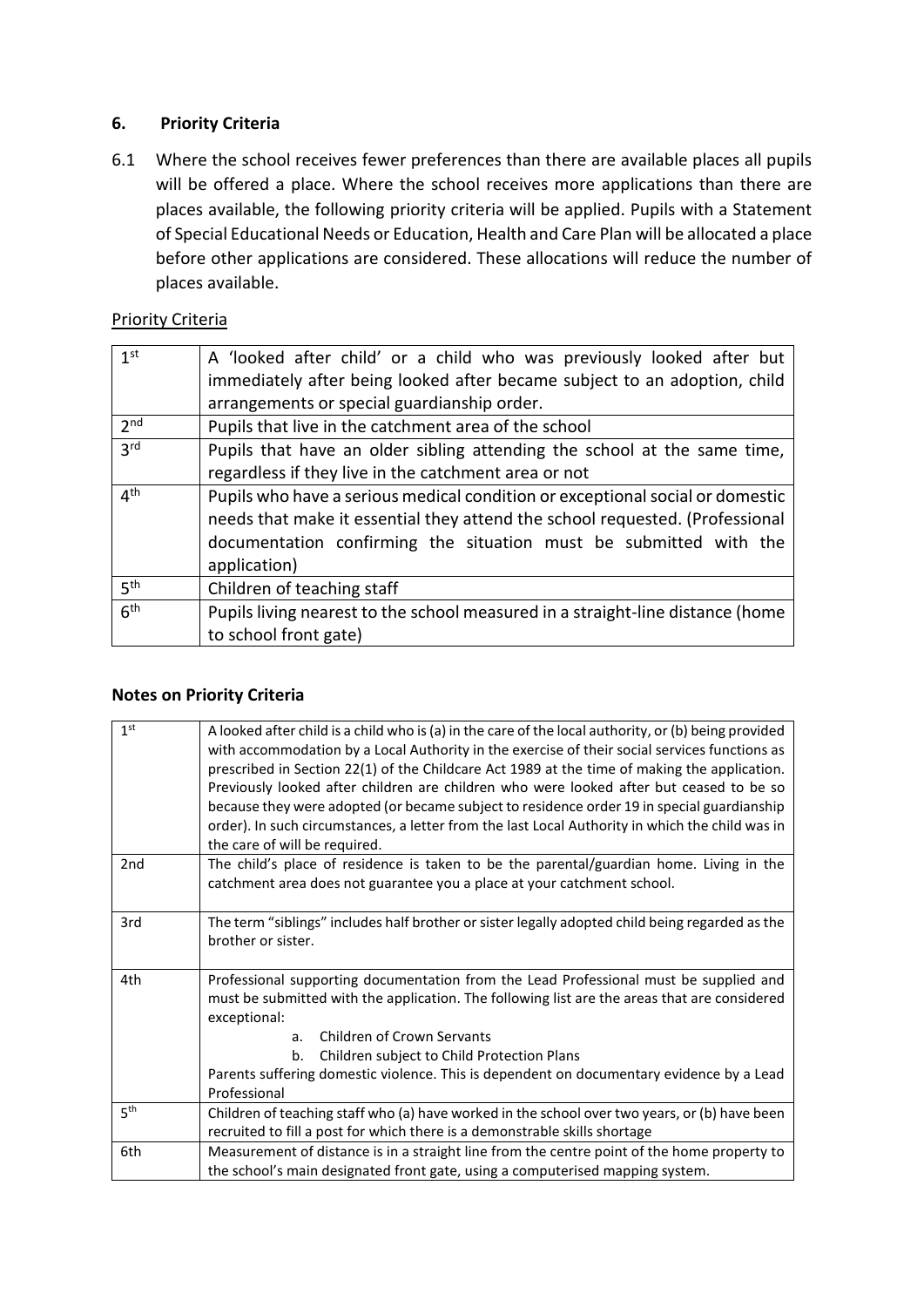# **6. Priority Criteria**

6.1 Where the school receives fewer preferences than there are available places all pupils will be offered a place. Where the school receives more applications than there are places available, the following priority criteria will be applied. Pupils with a Statement of Special Educational Needs or Education, Health and Care Plan will be allocated a place before other applications are considered. These allocations will reduce the number of places available.

## Priority Criteria

| 1 <sub>st</sub> | A 'looked after child' or a child who was previously looked after but<br>immediately after being looked after became subject to an adoption, child<br>arrangements or special guardianship order.                                                  |
|-----------------|----------------------------------------------------------------------------------------------------------------------------------------------------------------------------------------------------------------------------------------------------|
| 2 <sub>nd</sub> | Pupils that live in the catchment area of the school                                                                                                                                                                                               |
| 3 <sup>rd</sup> | Pupils that have an older sibling attending the school at the same time,<br>regardless if they live in the catchment area or not                                                                                                                   |
| 4 <sup>th</sup> | Pupils who have a serious medical condition or exceptional social or domestic<br>needs that make it essential they attend the school requested. (Professional<br>documentation confirming the situation must be submitted with the<br>application) |
| 5 <sup>th</sup> | Children of teaching staff                                                                                                                                                                                                                         |
| 6 <sup>th</sup> | Pupils living nearest to the school measured in a straight-line distance (home<br>to school front gate)                                                                                                                                            |

## **Notes on Priority Criteria**

| 1 <sup>st</sup> | A looked after child is a child who is (a) in the care of the local authority, or (b) being provided<br>with accommodation by a Local Authority in the exercise of their social services functions as<br>prescribed in Section 22(1) of the Childcare Act 1989 at the time of making the application.<br>Previously looked after children are children who were looked after but ceased to be so<br>because they were adopted (or became subject to residence order 19 in special guardianship<br>order). In such circumstances, a letter from the last Local Authority in which the child was in<br>the care of will be required. |
|-----------------|------------------------------------------------------------------------------------------------------------------------------------------------------------------------------------------------------------------------------------------------------------------------------------------------------------------------------------------------------------------------------------------------------------------------------------------------------------------------------------------------------------------------------------------------------------------------------------------------------------------------------------|
| 2nd             | The child's place of residence is taken to be the parental/guardian home. Living in the<br>catchment area does not guarantee you a place at your catchment school.                                                                                                                                                                                                                                                                                                                                                                                                                                                                 |
| 3rd             | The term "siblings" includes half brother or sister legally adopted child being regarded as the<br>brother or sister.                                                                                                                                                                                                                                                                                                                                                                                                                                                                                                              |
| 4th             | Professional supporting documentation from the Lead Professional must be supplied and<br>must be submitted with the application. The following list are the areas that are considered<br>exceptional:<br>Children of Crown Servants<br>a.<br>Children subject to Child Protection Plans<br>b.<br>Parents suffering domestic violence. This is dependent on documentary evidence by a Lead<br>Professional                                                                                                                                                                                                                          |
| 5 <sup>th</sup> | Children of teaching staff who (a) have worked in the school over two years, or (b) have been<br>recruited to fill a post for which there is a demonstrable skills shortage                                                                                                                                                                                                                                                                                                                                                                                                                                                        |
| 6th             | Measurement of distance is in a straight line from the centre point of the home property to<br>the school's main designated front gate, using a computerised mapping system.                                                                                                                                                                                                                                                                                                                                                                                                                                                       |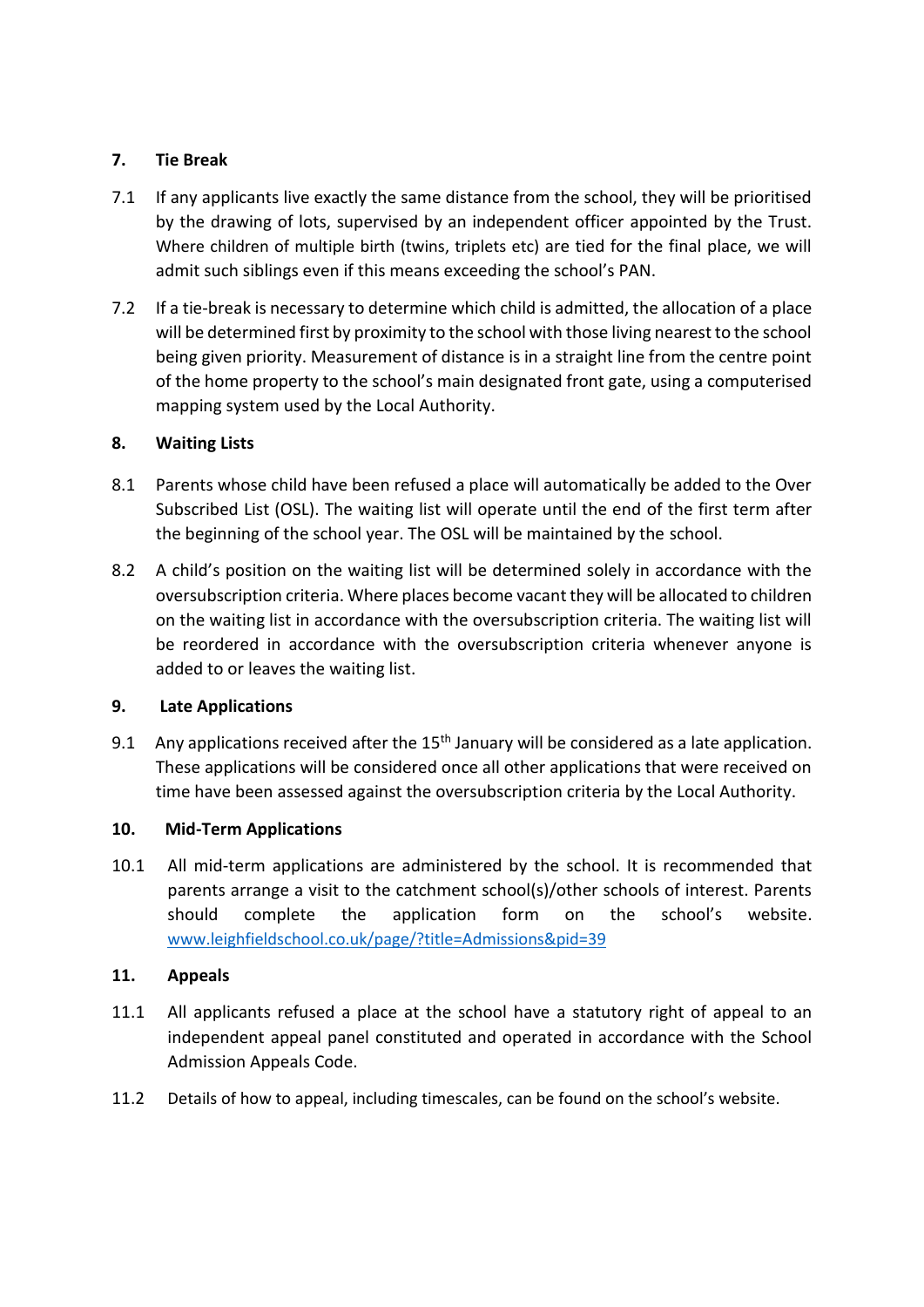# **7. Tie Break**

- 7.1 If any applicants live exactly the same distance from the school, they will be prioritised by the drawing of lots, supervised by an independent officer appointed by the Trust. Where children of multiple birth (twins, triplets etc) are tied for the final place, we will admit such siblings even if this means exceeding the school's PAN.
- 7.2 If a tie-break is necessary to determine which child is admitted, the allocation of a place will be determined first by proximity to the school with those living nearest to the school being given priority. Measurement of distance is in a straight line from the centre point of the home property to the school's main designated front gate, using a computerised mapping system used by the Local Authority.

# **8. Waiting Lists**

- 8.1 Parents whose child have been refused a place will automatically be added to the Over Subscribed List (OSL). The waiting list will operate until the end of the first term after the beginning of the school year. The OSL will be maintained by the school.
- 8.2 A child's position on the waiting list will be determined solely in accordance with the oversubscription criteria. Where places become vacant they will be allocated to children on the waiting list in accordance with the oversubscription criteria. The waiting list will be reordered in accordance with the oversubscription criteria whenever anyone is added to or leaves the waiting list.

# **9. Late Applications**

9.1 Any applications received after the  $15<sup>th</sup>$  January will be considered as a late application. These applications will be considered once all other applications that were received on time have been assessed against the oversubscription criteria by the Local Authority.

# **10. Mid-Term Applications**

10.1 All mid-term applications are administered by the school. It is recommended that parents arrange a visit to the catchment school(s)/other schools of interest. Parents should complete the application form on the school's website. [www.leighfieldschool.co.uk/page/?title=Admissions&pid=39](http://www.leighfieldschool.co.uk/page/?title=Admissions&pid=39)

## **11. Appeals**

- 11.1 All applicants refused a place at the school have a statutory right of appeal to an independent appeal panel constituted and operated in accordance with the School Admission Appeals Code.
- 11.2 Details of how to appeal, including timescales, can be found on the school's website.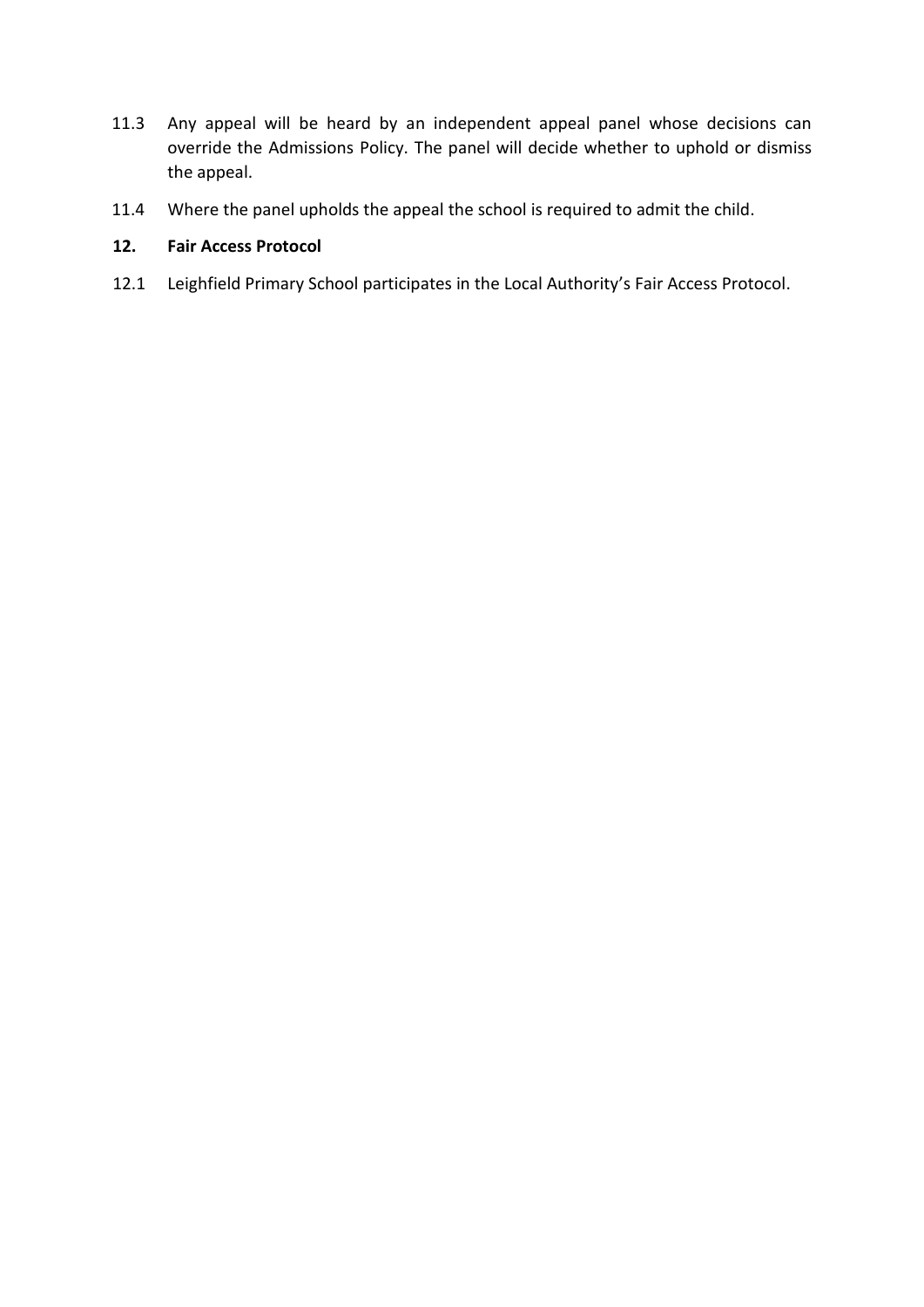- 11.3 Any appeal will be heard by an independent appeal panel whose decisions can override the Admissions Policy. The panel will decide whether to uphold or dismiss the appeal.
- 11.4 Where the panel upholds the appeal the school is required to admit the child.

## **12. Fair Access Protocol**

12.1 Leighfield Primary School participates in the Local Authority's Fair Access Protocol.